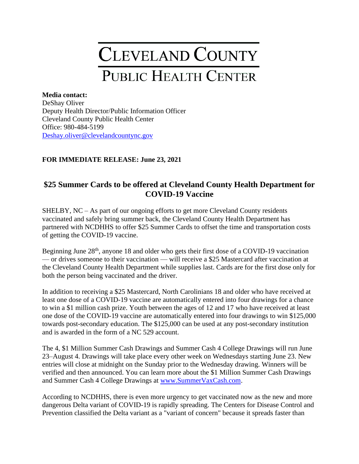## **CLEVELAND COUNTY** PUBLIC HEALTH CENTER

## **Media contact:**

DeShay Oliver Deputy Health Director/Public Information Officer Cleveland County Public Health Center Office: 980-484-5199 [Deshay.oliver@clevelandcountync.gov](mailto:Deshay.oliver@clevelandcountync.gov)

## **FOR IMMEDIATE RELEASE: June 23, 2021**

## **\$25 Summer Cards to be offered at Cleveland County Health Department for COVID-19 Vaccine**

SHELBY, NC – As part of our ongoing efforts to get more Cleveland County residents vaccinated and safely bring summer back, the Cleveland County Health Department has partnered with NCDHHS to offer \$25 Summer Cards to offset the time and transportation costs of getting the COVID-19 vaccine.

Beginning June 28<sup>th</sup>, anyone 18 and older who gets their first dose of a COVID-19 vaccination — or drives someone to their vaccination — will receive a \$25 Mastercard after vaccination at the Cleveland County Health Department while supplies last. Cards are for the first dose only for both the person being vaccinated and the driver.

In addition to receiving a \$25 Mastercard, North Carolinians 18 and older who have received at least one dose of a COVID-19 vaccine are automatically entered into four drawings for a chance to win a \$1 million cash prize. Youth between the ages of 12 and 17 who have received at least one dose of the COVID-19 vaccine are automatically entered into four drawings to win \$125,000 towards post-secondary education. The \$125,000 can be used at any post-secondary institution and is awarded in the form of a NC 529 account.

The 4, \$1 Million Summer Cash Drawings and Summer Cash 4 College Drawings will run June 23–August 4. Drawings will take place every other week on Wednesdays starting June 23. New entries will close at midnight on the Sunday prior to the Wednesday drawing. Winners will be verified and then announced. You can learn more about the \$1 Million Summer Cash Drawings and Summer Cash 4 College Drawings at [www.SummerVaxCash.com.](http://www.summervaxcash.com/)

According to NCDHHS, there is even more urgency to get vaccinated now as the new and more dangerous Delta variant of COVID-19 is rapidly spreading. The Centers for Disease Control and Prevention classified the Delta variant as a "variant of concern" because it spreads faster than